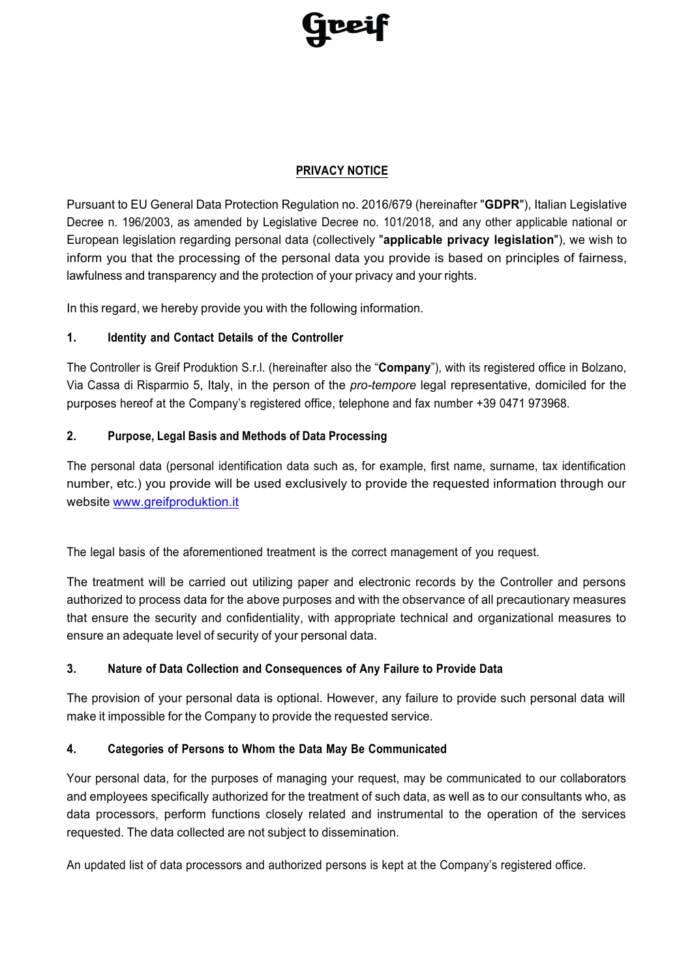

#### **PRIVACY NOTICE**

Pursuant to EU General Data Protection Regulation no. 2016/679 (hereinafter "**GDPR**"), Italian Legislative Decree n. 196/2003, as amended by Legislative Decree no. 101/2018, and any other applicable national or European legislation regarding personal data (collectively "**applicable privacy legislation**"), we wish to inform you that the processing of the personal data you provide is based on principles of fairness, lawfulness and transparency and the protection of your privacy and your rights.

In this regard, we hereby provide you with the following information.

## **1. Identity and Contact Details of the Controller**

The Controller is Greif Produktion S.r.l. (hereinafter also the "**Company**"), with its registered office in Bolzano, Via Cassa di Risparmio 5, Italy, in the person of the *pro-tempore* legal representative, domiciled for the purposes hereof at the Company's registered office, telephone and fax number +39 0471 973968.

## **2. Purpose, Legal Basis and Methods of Data Processing**

The personal data (personal identification data such as, for example, first name, surname, tax identification number, etc.) you provide will be used exclusively to provide the requested information through our website www.greifproduktion.it

The legal basis of the aforementioned treatment is the correct management of you request.

The treatment will be carried out utilizing paper and electronic records by the Controller and persons authorized to process data for the above purposes and with the observance of all precautionary measures that ensure the security and confidentiality, with appropriate technical and organizational measures to ensure an adequate level of security of your personal data.

# **3. Nature of Data Collection and Consequences of Any Failure to Provide Data**

The provision of your personal data is optional. However, any failure to provide such personal data will make it impossible for the Company to provide the requested service.

#### **4. Categories of Persons to Whom the Data May Be Communicated**

Your personal data, for the purposes of managing your request, may be communicated to our collaborators and employees specifically authorized for the treatment of such data, as well as to our consultants who, as data processors, perform functions closely related and instrumental to the operation of the services requested. The data collected are not subject to dissemination.

An updated list of data processors and authorized persons is kept at the Company's registered office.